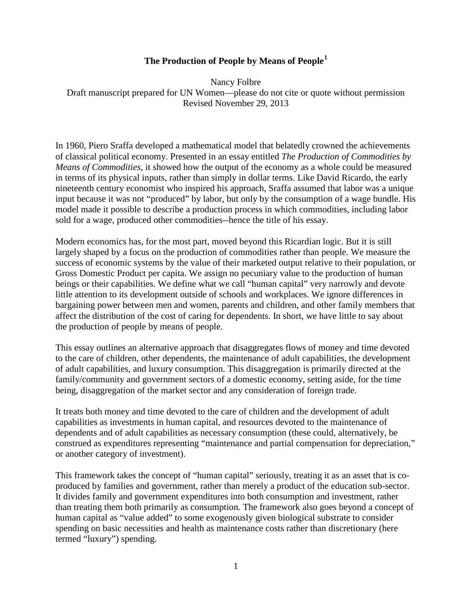# **The Production of People by Means of People[1](#page-17-0)**

Nancy Folbre Draft manuscript prepared for UN Women—please do not cite or quote without permission Revised November 29, 2013

In 1960, Piero Sraffa developed a mathematical model that belatedly crowned the achievements of classical political economy. Presented in an essay entitled *The Production of Commodities by Means of Commodities,* it showed how the output of the economy as a whole could be measured in terms of its physical inputs, rather than simply in dollar terms. Like David Ricardo, the early nineteenth century economist who inspired his approach, Sraffa assumed that labor was a unique input because it was not "produced" by labor, but only by the consumption of a wage bundle. His model made it possible to describe a production process in which commodities, including labor sold for a wage, produced other commodities--hence the title of his essay.

Modern economics has, for the most part, moved beyond this Ricardian logic. But it is still largely shaped by a focus on the production of commodities rather than people. We measure the success of economic systems by the value of their marketed output relative to their population, or Gross Domestic Product per capita. We assign no pecuniary value to the production of human beings or their capabilities. We define what we call "human capital" very narrowly and devote little attention to its development outside of schools and workplaces. We ignore differences in bargaining power between men and women, parents and children, and other family members that affect the distribution of the cost of caring for dependents. In short, we have little to say about the production of people by means of people.

This essay outlines an alternative approach that disaggregates flows of money and time devoted to the care of children, other dependents, the maintenance of adult capabilities, the development of adult capabilities, and luxury consumption. This disaggregation is primarily directed at the family/community and government sectors of a domestic economy, setting aside, for the time being, disaggregation of the market sector and any consideration of foreign trade.

It treats both money and time devoted to the care of children and the development of adult capabilities as investments in human capital, and resources devoted to the maintenance of dependents and of adult capabilities as necessary consumption (these could, alternatively, be construed as expenditures representing "maintenance and partial compensation for depreciation," or another category of investment).

This framework takes the concept of "human capital" seriously, treating it as an asset that is coproduced by families and government, rather than merely a product of the education sub-sector. It divides family and government expenditures into both consumption and investment, rather than treating them both primarily as consumption. The framework also goes beyond a concept of human capital as "value added" to some exogenously given biological substrate to consider spending on basic necessities and health as maintenance costs rather than discretionary (here termed "luxury") spending.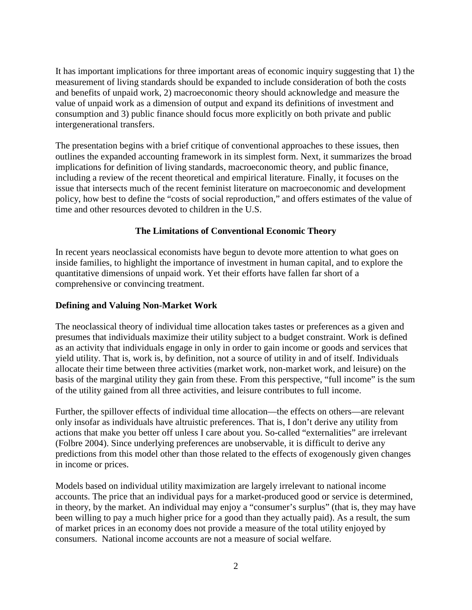It has important implications for three important areas of economic inquiry suggesting that 1) the measurement of living standards should be expanded to include consideration of both the costs and benefits of unpaid work, 2) macroeconomic theory should acknowledge and measure the value of unpaid work as a dimension of output and expand its definitions of investment and consumption and 3) public finance should focus more explicitly on both private and public intergenerational transfers.

The presentation begins with a brief critique of conventional approaches to these issues, then outlines the expanded accounting framework in its simplest form. Next, it summarizes the broad implications for definition of living standards, macroeconomic theory, and public finance, including a review of the recent theoretical and empirical literature. Finally, it focuses on the issue that intersects much of the recent feminist literature on macroeconomic and development policy, how best to define the "costs of social reproduction," and offers estimates of the value of time and other resources devoted to children in the U.S.

### **The Limitations of Conventional Economic Theory**

In recent years neoclassical economists have begun to devote more attention to what goes on inside families, to highlight the importance of investment in human capital, and to explore the quantitative dimensions of unpaid work. Yet their efforts have fallen far short of a comprehensive or convincing treatment.

#### **Defining and Valuing Non-Market Work**

The neoclassical theory of individual time allocation takes tastes or preferences as a given and presumes that individuals maximize their utility subject to a budget constraint. Work is defined as an activity that individuals engage in only in order to gain income or goods and services that yield utility. That is, work is, by definition, not a source of utility in and of itself. Individuals allocate their time between three activities (market work, non-market work, and leisure) on the basis of the marginal utility they gain from these. From this perspective, "full income" is the sum of the utility gained from all three activities, and leisure contributes to full income.

Further, the spillover effects of individual time allocation—the effects on others—are relevant only insofar as individuals have altruistic preferences. That is, I don't derive any utility from actions that make you better off unless I care about you. So-called "externalities" are irrelevant (Folbre 2004). Since underlying preferences are unobservable, it is difficult to derive any predictions from this model other than those related to the effects of exogenously given changes in income or prices.

Models based on individual utility maximization are largely irrelevant to national income accounts. The price that an individual pays for a market-produced good or service is determined, in theory, by the market. An individual may enjoy a "consumer's surplus" (that is, they may have been willing to pay a much higher price for a good than they actually paid). As a result, the sum of market prices in an economy does not provide a measure of the total utility enjoyed by consumers. National income accounts are not a measure of social welfare.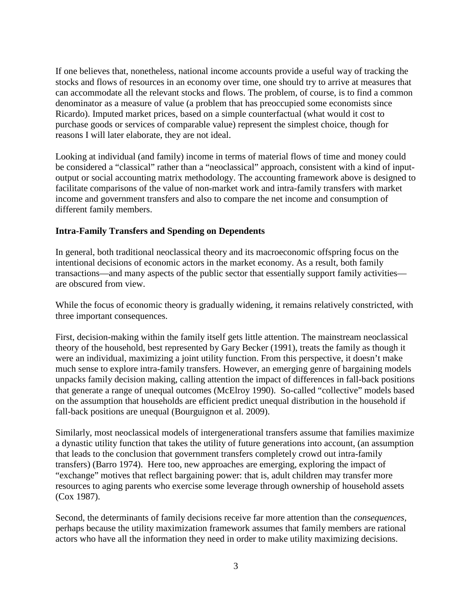If one believes that, nonetheless, national income accounts provide a useful way of tracking the stocks and flows of resources in an economy over time, one should try to arrive at measures that can accommodate all the relevant stocks and flows. The problem, of course, is to find a common denominator as a measure of value (a problem that has preoccupied some economists since Ricardo). Imputed market prices, based on a simple counterfactual (what would it cost to purchase goods or services of comparable value) represent the simplest choice, though for reasons I will later elaborate, they are not ideal.

Looking at individual (and family) income in terms of material flows of time and money could be considered a "classical" rather than a "neoclassical" approach, consistent with a kind of inputoutput or social accounting matrix methodology. The accounting framework above is designed to facilitate comparisons of the value of non-market work and intra-family transfers with market income and government transfers and also to compare the net income and consumption of different family members.

## **Intra-Family Transfers and Spending on Dependents**

In general, both traditional neoclassical theory and its macroeconomic offspring focus on the intentional decisions of economic actors in the market economy. As a result, both family transactions—and many aspects of the public sector that essentially support family activities are obscured from view.

While the focus of economic theory is gradually widening, it remains relatively constricted, with three important consequences.

First, decision-making within the family itself gets little attention. The mainstream neoclassical theory of the household, best represented by Gary Becker (1991), treats the family as though it were an individual, maximizing a joint utility function. From this perspective, it doesn't make much sense to explore intra-family transfers. However, an emerging genre of bargaining models unpacks family decision making, calling attention the impact of differences in fall-back positions that generate a range of unequal outcomes (McElroy 1990). So-called "collective" models based on the assumption that households are efficient predict unequal distribution in the household if fall-back positions are unequal (Bourguignon et al. 2009).

Similarly, most neoclassical models of intergenerational transfers assume that families maximize a dynastic utility function that takes the utility of future generations into account, (an assumption that leads to the conclusion that government transfers completely crowd out intra-family transfers) (Barro 1974). Here too, new approaches are emerging, exploring the impact of "exchange" motives that reflect bargaining power: that is, adult children may transfer more resources to aging parents who exercise some leverage through ownership of household assets (Cox 1987).

Second, the determinants of family decisions receive far more attention than the *consequences,*  perhaps because the utility maximization framework assumes that family members are rational actors who have all the information they need in order to make utility maximizing decisions.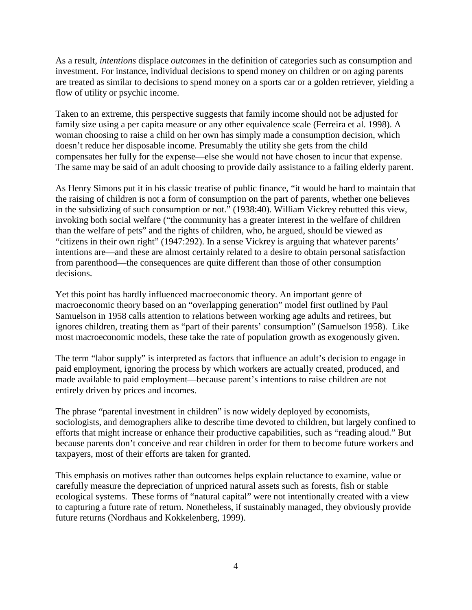As a result, *intentions* displace *outcomes* in the definition of categories such as consumption and investment. For instance, individual decisions to spend money on children or on aging parents are treated as similar to decisions to spend money on a sports car or a golden retriever, yielding a flow of utility or psychic income.

Taken to an extreme, this perspective suggests that family income should not be adjusted for family size using a per capita measure or any other equivalence scale (Ferreira et al. 1998). A woman choosing to raise a child on her own has simply made a consumption decision, which doesn't reduce her disposable income. Presumably the utility she gets from the child compensates her fully for the expense—else she would not have chosen to incur that expense. The same may be said of an adult choosing to provide daily assistance to a failing elderly parent.

As Henry Simons put it in his classic treatise of public finance, "it would be hard to maintain that the raising of children is not a form of consumption on the part of parents, whether one believes in the subsidizing of such consumption or not." (1938:40). William Vickrey rebutted this view, invoking both social welfare ("the community has a greater interest in the welfare of children than the welfare of pets" and the rights of children, who, he argued, should be viewed as "citizens in their own right" (1947:292). In a sense Vickrey is arguing that whatever parents' intentions are—and these are almost certainly related to a desire to obtain personal satisfaction from parenthood—the consequences are quite different than those of other consumption decisions.

Yet this point has hardly influenced macroeconomic theory. An important genre of macroeconomic theory based on an "overlapping generation" model first outlined by Paul Samuelson in 1958 calls attention to relations between working age adults and retirees, but ignores children, treating them as "part of their parents' consumption" (Samuelson 1958). Like most macroeconomic models, these take the rate of population growth as exogenously given.

The term "labor supply" is interpreted as factors that influence an adult's decision to engage in paid employment, ignoring the process by which workers are actually created, produced, and made available to paid employment—because parent's intentions to raise children are not entirely driven by prices and incomes.

The phrase "parental investment in children" is now widely deployed by economists, sociologists, and demographers alike to describe time devoted to children, but largely confined to efforts that might increase or enhance their productive capabilities, such as "reading aloud." But because parents don't conceive and rear children in order for them to become future workers and taxpayers, most of their efforts are taken for granted.

This emphasis on motives rather than outcomes helps explain reluctance to examine, value or carefully measure the depreciation of unpriced natural assets such as forests, fish or stable ecological systems. These forms of "natural capital" were not intentionally created with a view to capturing a future rate of return. Nonetheless, if sustainably managed, they obviously provide future returns (Nordhaus and Kokkelenberg, 1999).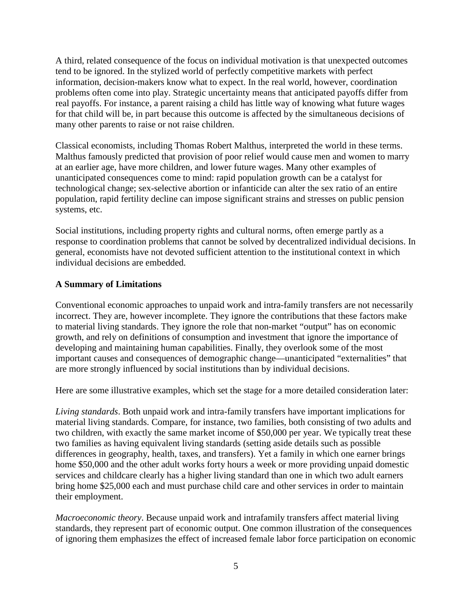A third, related consequence of the focus on individual motivation is that unexpected outcomes tend to be ignored. In the stylized world of perfectly competitive markets with perfect information, decision-makers know what to expect. In the real world, however, coordination problems often come into play. Strategic uncertainty means that anticipated payoffs differ from real payoffs. For instance, a parent raising a child has little way of knowing what future wages for that child will be, in part because this outcome is affected by the simultaneous decisions of many other parents to raise or not raise children.

Classical economists, including Thomas Robert Malthus, interpreted the world in these terms. Malthus famously predicted that provision of poor relief would cause men and women to marry at an earlier age, have more children, and lower future wages. Many other examples of unanticipated consequences come to mind: rapid population growth can be a catalyst for technological change; sex-selective abortion or infanticide can alter the sex ratio of an entire population, rapid fertility decline can impose significant strains and stresses on public pension systems, etc.

Social institutions, including property rights and cultural norms, often emerge partly as a response to coordination problems that cannot be solved by decentralized individual decisions. In general, economists have not devoted sufficient attention to the institutional context in which individual decisions are embedded.

### **A Summary of Limitations**

Conventional economic approaches to unpaid work and intra-family transfers are not necessarily incorrect. They are, however incomplete. They ignore the contributions that these factors make to material living standards. They ignore the role that non-market "output" has on economic growth, and rely on definitions of consumption and investment that ignore the importance of developing and maintaining human capabilities. Finally, they overlook some of the most important causes and consequences of demographic change—unanticipated "externalities" that are more strongly influenced by social institutions than by individual decisions.

Here are some illustrative examples, which set the stage for a more detailed consideration later:

*Living standards*. Both unpaid work and intra-family transfers have important implications for material living standards. Compare, for instance, two families, both consisting of two adults and two children, with exactly the same market income of \$50,000 per year. We typically treat these two families as having equivalent living standards (setting aside details such as possible differences in geography, health, taxes, and transfers). Yet a family in which one earner brings home \$50,000 and the other adult works forty hours a week or more providing unpaid domestic services and childcare clearly has a higher living standard than one in which two adult earners bring home \$25,000 each and must purchase child care and other services in order to maintain their employment.

*Macroeconomic theory*. Because unpaid work and intrafamily transfers affect material living standards, they represent part of economic output. One common illustration of the consequences of ignoring them emphasizes the effect of increased female labor force participation on economic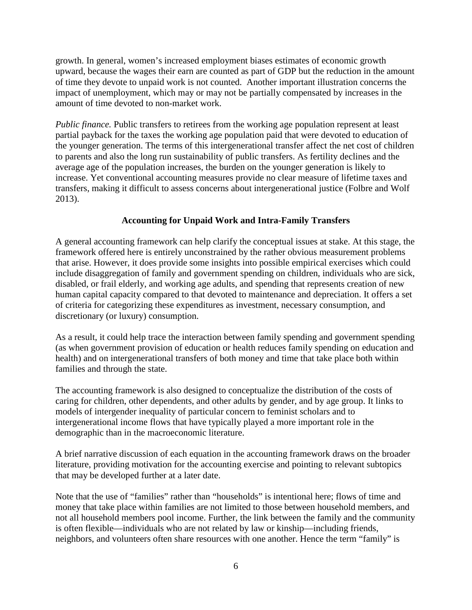growth. In general, women's increased employment biases estimates of economic growth upward, because the wages their earn are counted as part of GDP but the reduction in the amount of time they devote to unpaid work is not counted. Another important illustration concerns the impact of unemployment, which may or may not be partially compensated by increases in the amount of time devoted to non-market work.

*Public finance.* Public transfers to retirees from the working age population represent at least partial payback for the taxes the working age population paid that were devoted to education of the younger generation. The terms of this intergenerational transfer affect the net cost of children to parents and also the long run sustainability of public transfers. As fertility declines and the average age of the population increases, the burden on the younger generation is likely to increase. Yet conventional accounting measures provide no clear measure of lifetime taxes and transfers, making it difficult to assess concerns about intergenerational justice (Folbre and Wolf 2013).

## **Accounting for Unpaid Work and Intra-Family Transfers**

A general accounting framework can help clarify the conceptual issues at stake. At this stage, the framework offered here is entirely unconstrained by the rather obvious measurement problems that arise. However, it does provide some insights into possible empirical exercises which could include disaggregation of family and government spending on children, individuals who are sick, disabled, or frail elderly, and working age adults, and spending that represents creation of new human capital capacity compared to that devoted to maintenance and depreciation. It offers a set of criteria for categorizing these expenditures as investment, necessary consumption, and discretionary (or luxury) consumption.

As a result, it could help trace the interaction between family spending and government spending (as when government provision of education or health reduces family spending on education and health) and on intergenerational transfers of both money and time that take place both within families and through the state.

The accounting framework is also designed to conceptualize the distribution of the costs of caring for children, other dependents, and other adults by gender, and by age group. It links to models of intergender inequality of particular concern to feminist scholars and to intergenerational income flows that have typically played a more important role in the demographic than in the macroeconomic literature.

A brief narrative discussion of each equation in the accounting framework draws on the broader literature, providing motivation for the accounting exercise and pointing to relevant subtopics that may be developed further at a later date.

Note that the use of "families" rather than "households" is intentional here; flows of time and money that take place within families are not limited to those between household members, and not all household members pool income. Further, the link between the family and the community is often flexible—individuals who are not related by law or kinship—including friends, neighbors, and volunteers often share resources with one another. Hence the term "family" is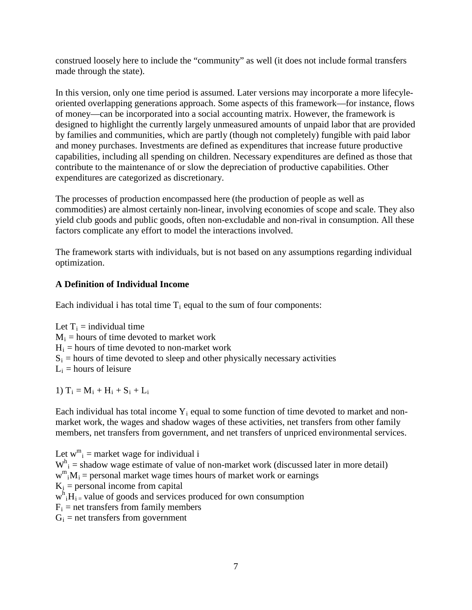construed loosely here to include the "community" as well (it does not include formal transfers made through the state).

In this version, only one time period is assumed. Later versions may incorporate a more lifecyleoriented overlapping generations approach. Some aspects of this framework—for instance, flows of money—can be incorporated into a social accounting matrix. However, the framework is designed to highlight the currently largely unmeasured amounts of unpaid labor that are provided by families and communities, which are partly (though not completely) fungible with paid labor and money purchases. Investments are defined as expenditures that increase future productive capabilities, including all spending on children. Necessary expenditures are defined as those that contribute to the maintenance of or slow the depreciation of productive capabilities. Other expenditures are categorized as discretionary.

The processes of production encompassed here (the production of people as well as commodities) are almost certainly non-linear, involving economies of scope and scale. They also yield club goods and public goods, often non-excludable and non-rival in consumption. All these factors complicate any effort to model the interactions involved.

The framework starts with individuals, but is not based on any assumptions regarding individual optimization.

# **A Definition of Individual Income**

Each individual i has total time  $T_i$  equal to the sum of four components:

Let  $T_i$  = individual time  $M_i$  = hours of time devoted to market work  $H<sub>i</sub>$  = hours of time devoted to non-market work  $S_i$  = hours of time devoted to sleep and other physically necessary activities  $L_i$  = hours of leisure

1)  $T_i = M_i + H_i + S_i + L_i$ 

Each individual has total income  $Y_i$  equal to some function of time devoted to market and nonmarket work, the wages and shadow wages of these activities, net transfers from other family members, net transfers from government, and net transfers of unpriced environmental services.

Let  $w_{i}^{m}$  = market wage for individual i  $W<sup>h</sup><sub>i</sub>$  = shadow wage estimate of value of non-market work (discussed later in more detail)  $w^m$ <sub>i</sub> $M_i$  = personal market wage times hours of market work or earnings  $K_i$  = personal income from capital  $w<sup>h</sup>$ <sub>i</sub>H<sub>i</sub> = value of goods and services produced for own consumption  $F_i$  = net transfers from family members  $G_i$  = net transfers from government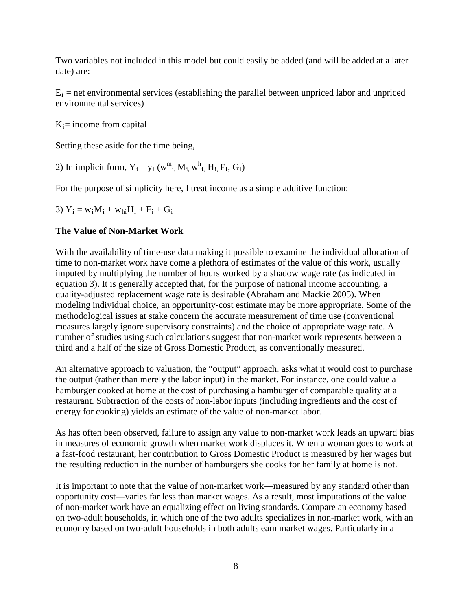Two variables not included in this model but could easily be added (and will be added at a later date) are:

 $E_i$  = net environmental services (establishing the parallel between unpriced labor and unpriced environmental services)

 $K_i$ = income from capital

Setting these aside for the time being,

2) In implicit form,  $Y_i = y_i (w^m_{i,} M_i, w^h_{i,} H_i, F_i, G_i)$ 

For the purpose of simplicity here, I treat income as a simple additive function:

3)  $Y_i = w_i M_i + w_{hi} H_i + F_i + G_i$ 

### **The Value of Non-Market Work**

With the availability of time-use data making it possible to examine the individual allocation of time to non-market work have come a plethora of estimates of the value of this work, usually imputed by multiplying the number of hours worked by a shadow wage rate (as indicated in equation 3). It is generally accepted that, for the purpose of national income accounting, a quality-adjusted replacement wage rate is desirable (Abraham and Mackie 2005). When modeling individual choice, an opportunity-cost estimate may be more appropriate. Some of the methodological issues at stake concern the accurate measurement of time use (conventional measures largely ignore supervisory constraints) and the choice of appropriate wage rate. A number of studies using such calculations suggest that non-market work represents between a third and a half of the size of Gross Domestic Product, as conventionally measured.

An alternative approach to valuation, the "output" approach, asks what it would cost to purchase the output (rather than merely the labor input) in the market. For instance, one could value a hamburger cooked at home at the cost of purchasing a hamburger of comparable quality at a restaurant. Subtraction of the costs of non-labor inputs (including ingredients and the cost of energy for cooking) yields an estimate of the value of non-market labor.

As has often been observed, failure to assign any value to non-market work leads an upward bias in measures of economic growth when market work displaces it. When a woman goes to work at a fast-food restaurant, her contribution to Gross Domestic Product is measured by her wages but the resulting reduction in the number of hamburgers she cooks for her family at home is not.

It is important to note that the value of non-market work—measured by any standard other than opportunity cost—varies far less than market wages. As a result, most imputations of the value of non-market work have an equalizing effect on living standards. Compare an economy based on two-adult households, in which one of the two adults specializes in non-market work, with an economy based on two-adult households in both adults earn market wages. Particularly in a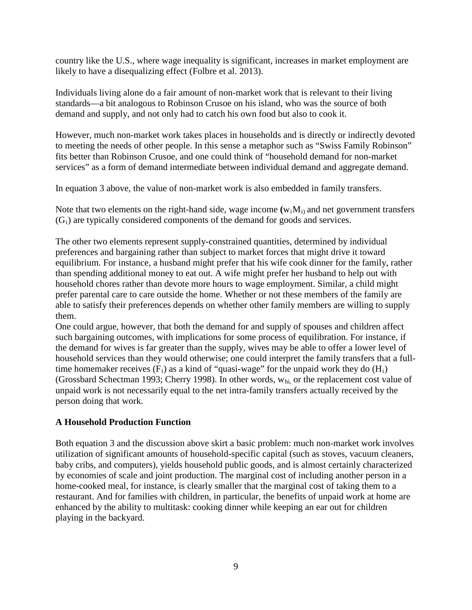country like the U.S., where wage inequality is significant, increases in market employment are likely to have a disequalizing effect (Folbre et al. 2013).

Individuals living alone do a fair amount of non-market work that is relevant to their living standards—a bit analogous to Robinson Crusoe on his island, who was the source of both demand and supply, and not only had to catch his own food but also to cook it.

However, much non-market work takes places in households and is directly or indirectly devoted to meeting the needs of other people. In this sense a metaphor such as "Swiss Family Robinson" fits better than Robinson Crusoe, and one could think of "household demand for non-market services" as a form of demand intermediate between individual demand and aggregate demand.

In equation 3 above, the value of non-market work is also embedded in family transfers.

Note that two elements on the right-hand side, wage income  $(w_iM_i)$  and net government transfers  $(G<sub>i</sub>)$  are typically considered components of the demand for goods and services.

The other two elements represent supply-constrained quantities, determined by individual preferences and bargaining rather than subject to market forces that might drive it toward equilibrium. For instance, a husband might prefer that his wife cook dinner for the family, rather than spending additional money to eat out. A wife might prefer her husband to help out with household chores rather than devote more hours to wage employment. Similar, a child might prefer parental care to care outside the home. Whether or not these members of the family are able to satisfy their preferences depends on whether other family members are willing to supply them.

One could argue, however, that both the demand for and supply of spouses and children affect such bargaining outcomes, with implications for some process of equilibration. For instance, if the demand for wives is far greater than the supply, wives may be able to offer a lower level of household services than they would otherwise; one could interpret the family transfers that a fulltime homemaker receives  $(F_i)$  as a kind of "quasi-wage" for the unpaid work they do  $(H_i)$ (Grossbard Schectman 1993; Cherry 1998). In other words,  $w_{hi}$  or the replacement cost value of unpaid work is not necessarily equal to the net intra-family transfers actually received by the person doing that work.

## **A Household Production Function**

Both equation 3 and the discussion above skirt a basic problem: much non-market work involves utilization of significant amounts of household-specific capital (such as stoves, vacuum cleaners, baby cribs, and computers), yields household public goods, and is almost certainly characterized by economies of scale and joint production. The marginal cost of including another person in a home-cooked meal, for instance, is clearly smaller that the marginal cost of taking them to a restaurant. And for families with children, in particular, the benefits of unpaid work at home are enhanced by the ability to multitask: cooking dinner while keeping an ear out for children playing in the backyard.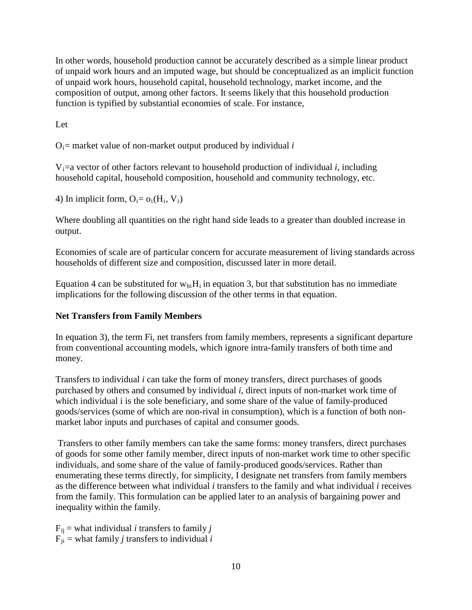In other words, household production cannot be accurately described as a simple linear product of unpaid work hours and an imputed wage, but should be conceptualized as an implicit function of unpaid work hours, household capital, household technology, market income, and the composition of output, among other factors. It seems likely that this household production function is typified by substantial economies of scale. For instance,

Let

 $O_i$ = market value of non-market output produced by individual *i* 

 $V_i$ =a vector of other factors relevant to household production of individual *i*, including household capital, household composition, household and community technology, etc.

4) In implicit form,  $O_i = o_i(H_i, V_i)$ 

Where doubling all quantities on the right hand side leads to a greater than doubled increase in output.

Economies of scale are of particular concern for accurate measurement of living standards across households of different size and composition, discussed later in more detail.

Equation 4 can be substituted for  $w_{hi}H_i$  in equation 3, but that substitution has no immediate implications for the following discussion of the other terms in that equation.

## **Net Transfers from Family Members**

In equation 3), the term Fi, net transfers from family members, represents a significant departure from conventional accounting models, which ignore intra-family transfers of both time and money.

Transfers to individual *i* can take the form of money transfers, direct purchases of goods purchased by others and consumed by individual *i*, direct inputs of non-market work time of which individual i is the sole beneficiary, and some share of the value of family-produced goods/services (some of which are non-rival in consumption), which is a function of both nonmarket labor inputs and purchases of capital and consumer goods.

Transfers to other family members can take the same forms: money transfers, direct purchases of goods for some other family member, direct inputs of non-market work time to other specific individuals, and some share of the value of family-produced goods/services. Rather than enumerating these terms directly, for simplicity, I designate net transfers from family members as the difference between what individual *i* transfers to the family and what individual *i* receives from the family. This formulation can be applied later to an analysis of bargaining power and inequality within the family.

 $F_{ij}$  = what individual *i* transfers to family *j*  $F_{ii}$  = what family *j* transfers to individual *i*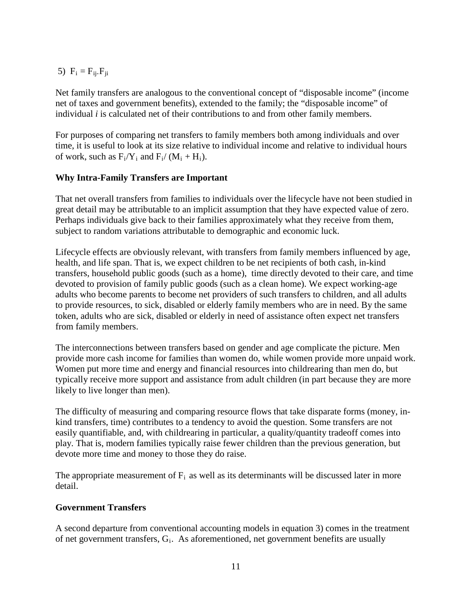5)  $F_i = F_{ii} - F_{ii}$ 

Net family transfers are analogous to the conventional concept of "disposable income" (income net of taxes and government benefits), extended to the family; the "disposable income" of individual *i* is calculated net of their contributions to and from other family members.

For purposes of comparing net transfers to family members both among individuals and over time, it is useful to look at its size relative to individual income and relative to individual hours of work, such as  $F_i/Y_i$  and  $F_i/(M_i + H_i)$ .

### **Why Intra-Family Transfers are Important**

That net overall transfers from families to individuals over the lifecycle have not been studied in great detail may be attributable to an implicit assumption that they have expected value of zero. Perhaps individuals give back to their families approximately what they receive from them, subject to random variations attributable to demographic and economic luck.

Lifecycle effects are obviously relevant, with transfers from family members influenced by age, health, and life span. That is, we expect children to be net recipients of both cash, in-kind transfers, household public goods (such as a home), time directly devoted to their care, and time devoted to provision of family public goods (such as a clean home). We expect working-age adults who become parents to become net providers of such transfers to children, and all adults to provide resources, to sick, disabled or elderly family members who are in need. By the same token, adults who are sick, disabled or elderly in need of assistance often expect net transfers from family members.

The interconnections between transfers based on gender and age complicate the picture. Men provide more cash income for families than women do, while women provide more unpaid work. Women put more time and energy and financial resources into childrearing than men do, but typically receive more support and assistance from adult children (in part because they are more likely to live longer than men).

The difficulty of measuring and comparing resource flows that take disparate forms (money, inkind transfers, time) contributes to a tendency to avoid the question. Some transfers are not easily quantifiable, and, with childrearing in particular, a quality/quantity tradeoff comes into play. That is, modern families typically raise fewer children than the previous generation, but devote more time and money to those they do raise.

The appropriate measurement of  $F_i$  as well as its determinants will be discussed later in more detail.

#### **Government Transfers**

A second departure from conventional accounting models in equation 3) comes in the treatment of net government transfers, Gi. As aforementioned, net government benefits are usually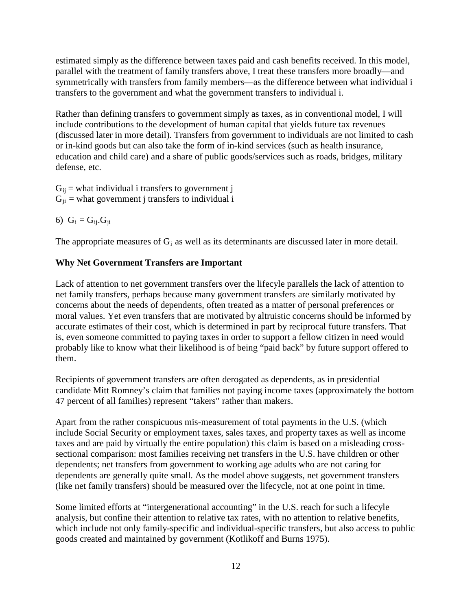estimated simply as the difference between taxes paid and cash benefits received. In this model, parallel with the treatment of family transfers above, I treat these transfers more broadly—and symmetrically with transfers from family members—as the difference between what individual i transfers to the government and what the government transfers to individual i.

Rather than defining transfers to government simply as taxes, as in conventional model, I will include contributions to the development of human capital that yields future tax revenues (discussed later in more detail). Transfers from government to individuals are not limited to cash or in-kind goods but can also take the form of in-kind services (such as health insurance, education and child care) and a share of public goods/services such as roads, bridges, military defense, etc.

 $G_{ij}$  = what individual i transfers to government j  $G_{ii}$  = what government j transfers to individual i

6)  $G_i = G_{ii} - G_{ii}$ 

The appropriate measures of  $G_i$  as well as its determinants are discussed later in more detail.

## **Why Net Government Transfers are Important**

Lack of attention to net government transfers over the lifecyle parallels the lack of attention to net family transfers, perhaps because many government transfers are similarly motivated by concerns about the needs of dependents, often treated as a matter of personal preferences or moral values. Yet even transfers that are motivated by altruistic concerns should be informed by accurate estimates of their cost, which is determined in part by reciprocal future transfers. That is, even someone committed to paying taxes in order to support a fellow citizen in need would probably like to know what their likelihood is of being "paid back" by future support offered to them.

Recipients of government transfers are often derogated as dependents, as in presidential candidate Mitt Romney's claim that families not paying income taxes (approximately the bottom 47 percent of all families) represent "takers" rather than makers.

Apart from the rather conspicuous mis-measurement of total payments in the U.S. (which include Social Security or employment taxes, sales taxes, and property taxes as well as income taxes and are paid by virtually the entire population) this claim is based on a misleading crosssectional comparison: most families receiving net transfers in the U.S. have children or other dependents; net transfers from government to working age adults who are not caring for dependents are generally quite small. As the model above suggests, net government transfers (like net family transfers) should be measured over the lifecycle, not at one point in time.

Some limited efforts at "intergenerational accounting" in the U.S. reach for such a lifecyle analysis, but confine their attention to relative tax rates, with no attention to relative benefits, which include not only family-specific and individual-specific transfers, but also access to public goods created and maintained by government (Kotlikoff and Burns 1975).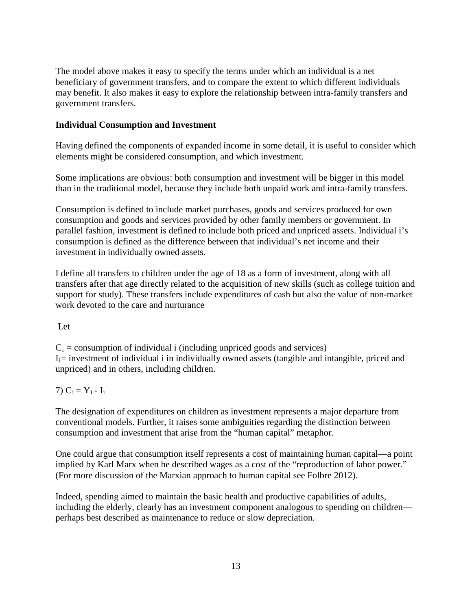The model above makes it easy to specify the terms under which an individual is a net beneficiary of government transfers, and to compare the extent to which different individuals may benefit. It also makes it easy to explore the relationship between intra-family transfers and government transfers.

### **Individual Consumption and Investment**

Having defined the components of expanded income in some detail, it is useful to consider which elements might be considered consumption, and which investment.

Some implications are obvious: both consumption and investment will be bigger in this model than in the traditional model, because they include both unpaid work and intra-family transfers.

Consumption is defined to include market purchases, goods and services produced for own consumption and goods and services provided by other family members or government. In parallel fashion, investment is defined to include both priced and unpriced assets. Individual i's consumption is defined as the difference between that individual's net income and their investment in individually owned assets.

I define all transfers to children under the age of 18 as a form of investment, along with all transfers after that age directly related to the acquisition of new skills (such as college tuition and support for study). These transfers include expenditures of cash but also the value of non-market work devoted to the care and nurturance

Let

 $C_i$  = consumption of individual i (including unpriced goods and services)  $I_i$ = investment of individual i in individually owned assets (tangible and intangible, priced and unpriced) and in others, including children.

## 7)  $C_i = Y_i - I_i$

The designation of expenditures on children as investment represents a major departure from conventional models. Further, it raises some ambiguities regarding the distinction between consumption and investment that arise from the "human capital" metaphor.

One could argue that consumption itself represents a cost of maintaining human capital—a point implied by Karl Marx when he described wages as a cost of the "reproduction of labor power." (For more discussion of the Marxian approach to human capital see Folbre 2012).

Indeed, spending aimed to maintain the basic health and productive capabilities of adults, including the elderly, clearly has an investment component analogous to spending on children perhaps best described as maintenance to reduce or slow depreciation.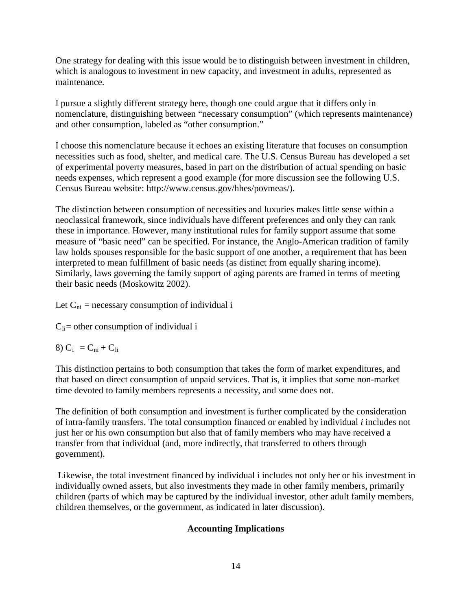One strategy for dealing with this issue would be to distinguish between investment in children, which is analogous to investment in new capacity, and investment in adults, represented as maintenance.

I pursue a slightly different strategy here, though one could argue that it differs only in nomenclature, distinguishing between "necessary consumption" (which represents maintenance) and other consumption, labeled as "other consumption."

I choose this nomenclature because it echoes an existing literature that focuses on consumption necessities such as food, shelter, and medical care. The U.S. Census Bureau has developed a set of experimental poverty measures, based in part on the distribution of actual spending on basic needs expenses, which represent a good example (for more discussion see the following U.S. Census Bureau website: http://www.census.gov/hhes/povmeas/).

The distinction between consumption of necessities and luxuries makes little sense within a neoclassical framework, since individuals have different preferences and only they can rank these in importance. However, many institutional rules for family support assume that some measure of "basic need" can be specified. For instance, the Anglo-American tradition of family law holds spouses responsible for the basic support of one another, a requirement that has been interpreted to mean fulfillment of basic needs (as distinct from equally sharing income). Similarly, laws governing the family support of aging parents are framed in terms of meeting their basic needs (Moskowitz 2002).

Let  $C_{ni}$  = necessary consumption of individual i

 $C_{li}$  = other consumption of individual i

8)  $C_i = C_{ni} + C_{li}$ 

This distinction pertains to both consumption that takes the form of market expenditures, and that based on direct consumption of unpaid services. That is, it implies that some non-market time devoted to family members represents a necessity, and some does not.

The definition of both consumption and investment is further complicated by the consideration of intra-family transfers. The total consumption financed or enabled by individual *i* includes not just her or his own consumption but also that of family members who may have received a transfer from that individual (and, more indirectly, that transferred to others through government).

Likewise, the total investment financed by individual i includes not only her or his investment in individually owned assets, but also investments they made in other family members, primarily children (parts of which may be captured by the individual investor, other adult family members, children themselves, or the government, as indicated in later discussion).

## **Accounting Implications**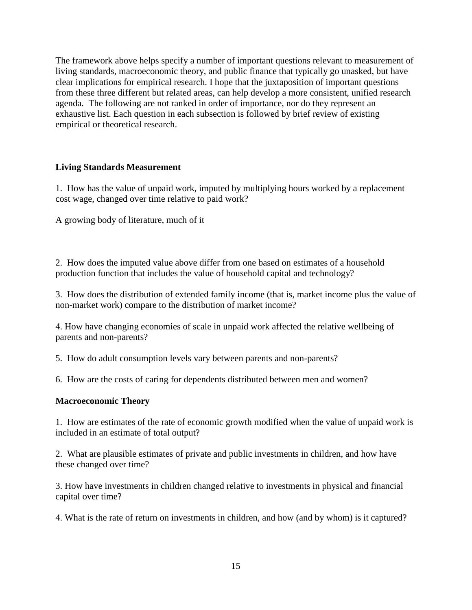The framework above helps specify a number of important questions relevant to measurement of living standards, macroeconomic theory, and public finance that typically go unasked, but have clear implications for empirical research. I hope that the juxtaposition of important questions from these three different but related areas, can help develop a more consistent, unified research agenda. The following are not ranked in order of importance, nor do they represent an exhaustive list. Each question in each subsection is followed by brief review of existing empirical or theoretical research.

## **Living Standards Measurement**

1. How has the value of unpaid work, imputed by multiplying hours worked by a replacement cost wage, changed over time relative to paid work?

A growing body of literature, much of it

2. How does the imputed value above differ from one based on estimates of a household production function that includes the value of household capital and technology?

3. How does the distribution of extended family income (that is, market income plus the value of non-market work) compare to the distribution of market income?

4. How have changing economies of scale in unpaid work affected the relative wellbeing of parents and non-parents?

5. How do adult consumption levels vary between parents and non-parents?

6. How are the costs of caring for dependents distributed between men and women?

# **Macroeconomic Theory**

1. How are estimates of the rate of economic growth modified when the value of unpaid work is included in an estimate of total output?

2. What are plausible estimates of private and public investments in children, and how have these changed over time?

3. How have investments in children changed relative to investments in physical and financial capital over time?

4. What is the rate of return on investments in children, and how (and by whom) is it captured?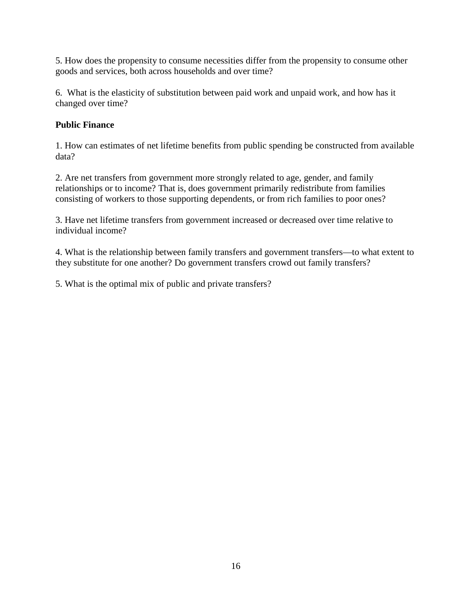5. How does the propensity to consume necessities differ from the propensity to consume other goods and services, both across households and over time?

6. What is the elasticity of substitution between paid work and unpaid work, and how has it changed over time?

## **Public Finance**

1. How can estimates of net lifetime benefits from public spending be constructed from available data?

2. Are net transfers from government more strongly related to age, gender, and family relationships or to income? That is, does government primarily redistribute from families consisting of workers to those supporting dependents, or from rich families to poor ones?

3. Have net lifetime transfers from government increased or decreased over time relative to individual income?

4. What is the relationship between family transfers and government transfers—to what extent to they substitute for one another? Do government transfers crowd out family transfers?

5. What is the optimal mix of public and private transfers?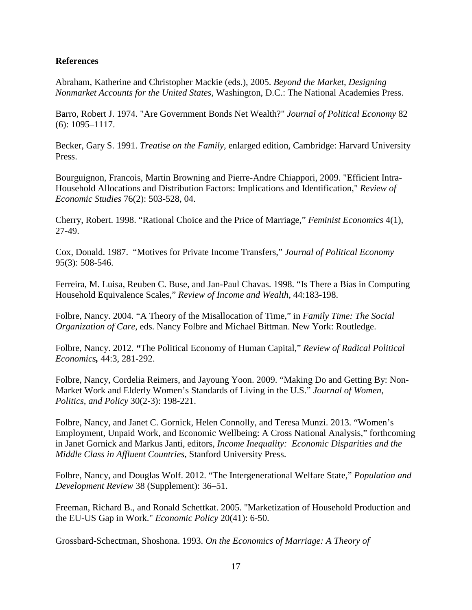#### **References**

Abraham, Katherine and Christopher Mackie (eds.), 2005. *Beyond the Market, Designing Nonmarket Accounts for the United States,* Washington, D.C.: The National Academies Press.

Barro, Robert J. 1974. "Are Government Bonds Net Wealth?" *Journal of Political Economy* 82 (6): 1095–1117.

Becker, Gary S. 1991. *Treatise on the Family,* enlarged edition, Cambridge: Harvard University Press.

Bourguignon, Francois, Martin Browning and Pierre-Andre Chiappori, 2009. "Efficient Intra-Household Allocations and Distribution Factors: Implications and Identification," *Review of Economic Studies* 76(2): 503-528, 04.

Cherry, Robert. 1998. "Rational Choice and the Price of Marriage," *Feminist Economics* 4(1), 27-49.

Cox, Donald. 1987. "Motives for Private Income Transfers," *Journal of Political Economy*  95(3): 508-546.

Ferreira, M. Luisa, Reuben C. Buse, and Jan-Paul Chavas. 1998. "Is There a Bias in Computing Household Equivalence Scales," *Review of Income and Wealth,* 44:183-198.

Folbre, Nancy. 2004. "A Theory of the Misallocation of Time," in *Family Time: The Social Organization of Care*, eds. Nancy Folbre and Michael Bittman. New York: Routledge.

Folbre, Nancy. 2012. *"*The Political Economy of Human Capital," *Review of Radical Political Economics,* 44:3, 281-292.

Folbre, Nancy, Cordelia Reimers, and Jayoung Yoon. 2009. "Making Do and Getting By: Non-Market Work and Elderly Women's Standards of Living in the U.S." *Journal of Women, Politics, and Policy* 30(2-3): 198-221.

Folbre, Nancy, and Janet C. Gornick, Helen Connolly, and Teresa Munzi. 2013. "Women's Employment, Unpaid Work, and Economic Wellbeing: A Cross National Analysis," forthcoming in Janet Gornick and Markus Janti, editors, *Income Inequality: Economic Disparities and the Middle Class in Affluent Countries*, Stanford University Press.

Folbre, Nancy, and Douglas Wolf. 2012. "The Intergenerational Welfare State," *Population and Development Review* 38 (Supplement): 36–51.

Freeman, Richard B., and Ronald Schettkat. 2005. "Marketization of Household Production and the EU-US Gap in Work." *Economic Policy* 20(41): 6-50.

Grossbard-Schectman, Shoshona. 1993. *On the Economics of Marriage: A Theory of*